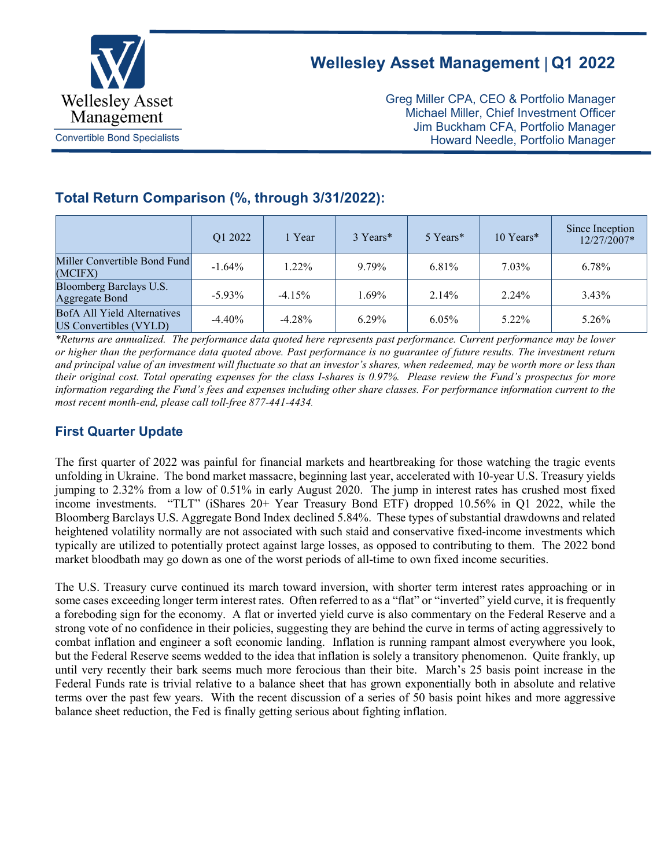

# **Wellesley Asset Management** | **Q1 2022**

Greg Miller CPA, CEO & Portfolio Manager Michael Miller, Chief Investment Officer Jim Buckham CFA, Portfolio Manager Howard Needle, Portfolio Manager

## **Total Return Comparison (%, through 3/31/2022):**

|                                                              | Q1 2022   | 1 Year    | 3 Years* | 5 Years* | 10 Years* | Since Inception<br>12/27/2007* |
|--------------------------------------------------------------|-----------|-----------|----------|----------|-----------|--------------------------------|
| Miller Convertible Bond Fund<br>(MCIFX)                      | $-1.64%$  | $1.22\%$  | 9.79%    | 6.81%    | $7.03\%$  | 6.78%                          |
| Bloomberg Barclays U.S.<br>Aggregate Bond                    | $-5.93\%$ | $-4.15\%$ | 1.69%    | 2.14%    | $2.24\%$  | $3.43\%$                       |
| <b>BofA All Yield Alternatives</b><br>US Convertibles (VYLD) | $-4.40\%$ | $-4.28\%$ | $6.29\%$ | $6.05\%$ | 5.22%     | 5.26%                          |

*\*Returns are annualized. The performance data quoted here represents past performance. Current performance may be lower or higher than the performance data quoted above. Past performance is no guarantee of future results. The investment return and principal value of an investment will fluctuate so that an investor's shares, when redeemed, may be worth more or less than their original cost. Total operating expenses for the class I-shares is 0.97%. Please review the Fund's prospectus for more information regarding the Fund's fees and expenses including other share classes. For performance information current to the most recent month-end, please call toll-free 877-441-4434.*

### **First Quarter Update**

The first quarter of 2022 was painful for financial markets and heartbreaking for those watching the tragic events unfolding in Ukraine. The bond market massacre, beginning last year, accelerated with 10-year U.S. Treasury yields jumping to 2.32% from a low of 0.51% in early August 2020. The jump in interest rates has crushed most fixed income investments. "TLT" (iShares 20+ Year Treasury Bond ETF) dropped 10.56% in Q1 2022, while the Bloomberg Barclays U.S. Aggregate Bond Index declined 5.84%. These types of substantial drawdowns and related heightened volatility normally are not associated with such staid and conservative fixed-income investments which typically are utilized to potentially protect against large losses, as opposed to contributing to them. The 2022 bond market bloodbath may go down as one of the worst periods of all-time to own fixed income securities.

The U.S. Treasury curve continued its march toward inversion, with shorter term interest rates approaching or in some cases exceeding longer term interest rates. Often referred to as a "flat" or "inverted" yield curve, it is frequently a foreboding sign for the economy. A flat or inverted yield curve is also commentary on the Federal Reserve and a strong vote of no confidence in their policies, suggesting they are behind the curve in terms of acting aggressively to combat inflation and engineer a soft economic landing. Inflation is running rampant almost everywhere you look, but the Federal Reserve seems wedded to the idea that inflation is solely a transitory phenomenon. Quite frankly, up until very recently their bark seems much more ferocious than their bite. March's 25 basis point increase in the Federal Funds rate is trivial relative to a balance sheet that has grown exponentially both in absolute and relative terms over the past few years. With the recent discussion of a series of 50 basis point hikes and more aggressive balance sheet reduction, the Fed is finally getting serious about fighting inflation.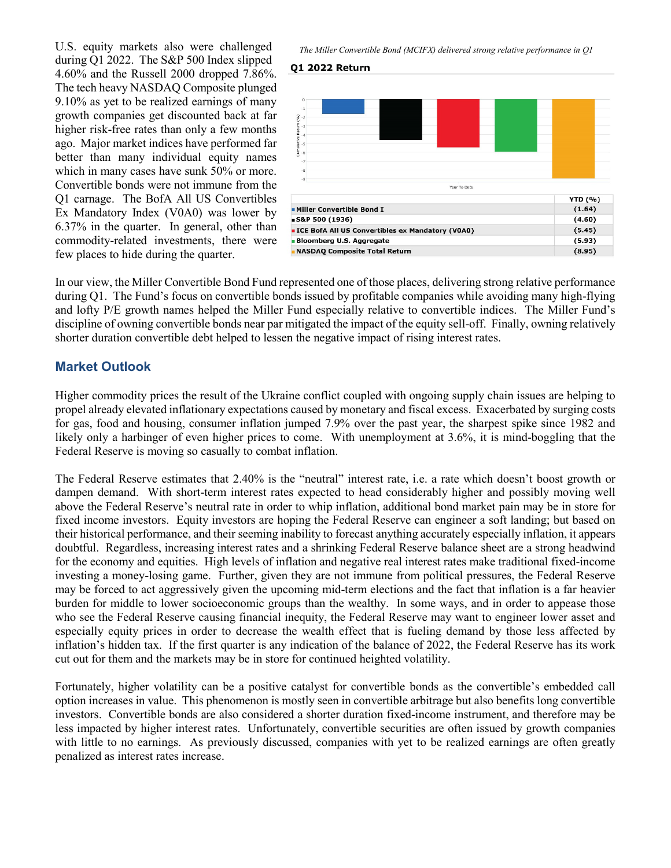U.S. equity markets also were challenged during Q1 2022. The S&P 500 Index slipped 4.60% and the Russell 2000 dropped 7.86%. The tech heavy NASDAQ Composite plunged 9.10% as yet to be realized earnings of many growth companies get discounted back at far higher risk-free rates than only a few months ago. Major market indices have performed far better than many individual equity names which in many cases have sunk 50% or more. Convertible bonds were not immune from the Q1 carnage. The BofA All US Convertibles Ex Mandatory Index (V0A0) was lower by 6.37% in the quarter. In general, other than commodity-related investments, there were few places to hide during the quarter.

*The Miller Convertible Bond (MCIFX) delivered strong relative performance in Q1*

#### **Q1 2022 Return**



In our view, the Miller Convertible Bond Fund represented one of those places, delivering strong relative performance during Q1. The Fund's focus on convertible bonds issued by profitable companies while avoiding many high-flying and lofty P/E growth names helped the Miller Fund especially relative to convertible indices. The Miller Fund's discipline of owning convertible bonds near par mitigated the impact of the equity sell-off. Finally, owning relatively shorter duration convertible debt helped to lessen the negative impact of rising interest rates.

#### **Market Outlook**

Higher commodity prices the result of the Ukraine conflict coupled with ongoing supply chain issues are helping to propel already elevated inflationary expectations caused by monetary and fiscal excess. Exacerbated by surging costs for gas, food and housing, consumer inflation jumped 7.9% over the past year, the sharpest spike since 1982 and likely only a harbinger of even higher prices to come. With unemployment at 3.6%, it is mind-boggling that the Federal Reserve is moving so casually to combat inflation.

The Federal Reserve estimates that 2.40% is the "neutral" interest rate, i.e. a rate which doesn't boost growth or dampen demand. With short-term interest rates expected to head considerably higher and possibly moving well above the Federal Reserve's neutral rate in order to whip inflation, additional bond market pain may be in store for fixed income investors. Equity investors are hoping the Federal Reserve can engineer a soft landing; but based on their historical performance, and their seeming inability to forecast anything accurately especially inflation, it appears doubtful. Regardless, increasing interest rates and a shrinking Federal Reserve balance sheet are a strong headwind for the economy and equities. High levels of inflation and negative real interest rates make traditional fixed-income investing a money-losing game. Further, given they are not immune from political pressures, the Federal Reserve may be forced to act aggressively given the upcoming mid-term elections and the fact that inflation is a far heavier burden for middle to lower socioeconomic groups than the wealthy. In some ways, and in order to appease those who see the Federal Reserve causing financial inequity, the Federal Reserve may want to engineer lower asset and especially equity prices in order to decrease the wealth effect that is fueling demand by those less affected by inflation's hidden tax. If the first quarter is any indication of the balance of 2022, the Federal Reserve has its work cut out for them and the markets may be in store for continued heighted volatility.

Fortunately, higher volatility can be a positive catalyst for convertible bonds as the convertible's embedded call option increases in value. This phenomenon is mostly seen in convertible arbitrage but also benefits long convertible investors. Convertible bonds are also considered a shorter duration fixed-income instrument, and therefore may be less impacted by higher interest rates. Unfortunately, convertible securities are often issued by growth companies with little to no earnings. As previously discussed, companies with yet to be realized earnings are often greatly penalized as interest rates increase.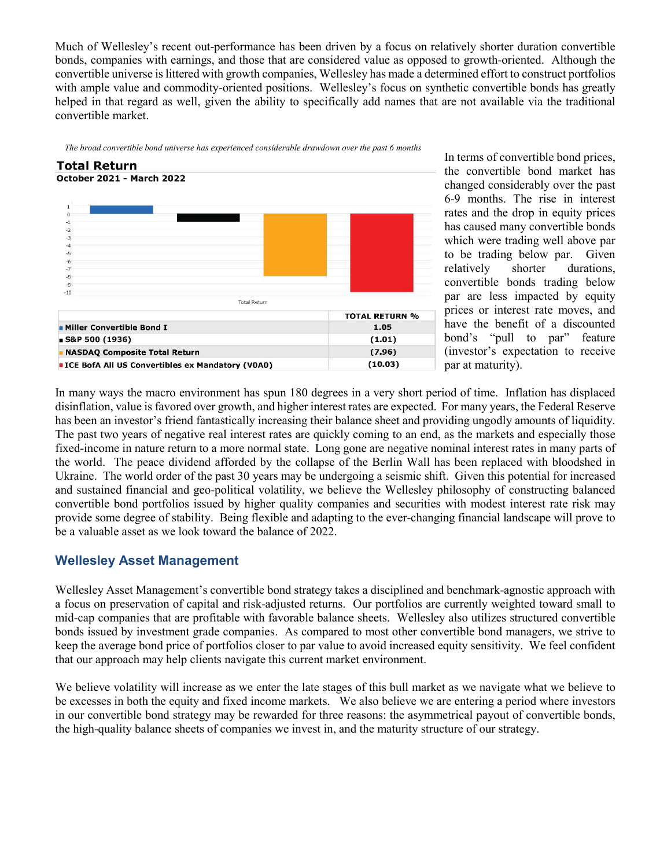Much of Wellesley's recent out-performance has been driven by a focus on relatively shorter duration convertible bonds, companies with earnings, and those that are considered value as opposed to growth-oriented. Although the convertible universe is littered with growth companies, Wellesley has made a determined effort to construct portfolios with ample value and commodity-oriented positions. Wellesley's focus on synthetic convertible bonds has greatly helped in that regard as well, given the ability to specifically add names that are not available via the traditional convertible market.





In terms of convertible bond prices, the convertible bond market has changed considerably over the past 6-9 months. The rise in interest rates and the drop in equity prices has caused many convertible bonds which were trading well above par to be trading below par. Given relatively shorter durations, convertible bonds trading below par are less impacted by equity prices or interest rate moves, and have the benefit of a discounted bond's "pull to par" feature (investor's expectation to receive par at maturity).

In many ways the macro environment has spun 180 degrees in a very short period of time. Inflation has displaced disinflation, value is favored over growth, and higher interest rates are expected. For many years, the Federal Reserve has been an investor's friend fantastically increasing their balance sheet and providing ungodly amounts of liquidity. The past two years of negative real interest rates are quickly coming to an end, as the markets and especially those fixed-income in nature return to a more normal state. Long gone are negative nominal interest rates in many parts of the world. The peace dividend afforded by the collapse of the Berlin Wall has been replaced with bloodshed in Ukraine. The world order of the past 30 years may be undergoing a seismic shift. Given this potential for increased and sustained financial and geo-political volatility, we believe the Wellesley philosophy of constructing balanced convertible bond portfolios issued by higher quality companies and securities with modest interest rate risk may provide some degree of stability. Being flexible and adapting to the ever-changing financial landscape will prove to be a valuable asset as we look toward the balance of 2022.

### **Wellesley Asset Management**

Wellesley Asset Management's convertible bond strategy takes a disciplined and benchmark-agnostic approach with a focus on preservation of capital and risk-adjusted returns. Our portfolios are currently weighted toward small to mid-cap companies that are profitable with favorable balance sheets. Wellesley also utilizes structured convertible bonds issued by investment grade companies. As compared to most other convertible bond managers, we strive to keep the average bond price of portfolios closer to par value to avoid increased equity sensitivity. We feel confident that our approach may help clients navigate this current market environment.

We believe volatility will increase as we enter the late stages of this bull market as we navigate what we believe to be excesses in both the equity and fixed income markets. We also believe we are entering a period where investors in our convertible bond strategy may be rewarded for three reasons: the asymmetrical payout of convertible bonds, the high-quality balance sheets of companies we invest in, and the maturity structure of our strategy.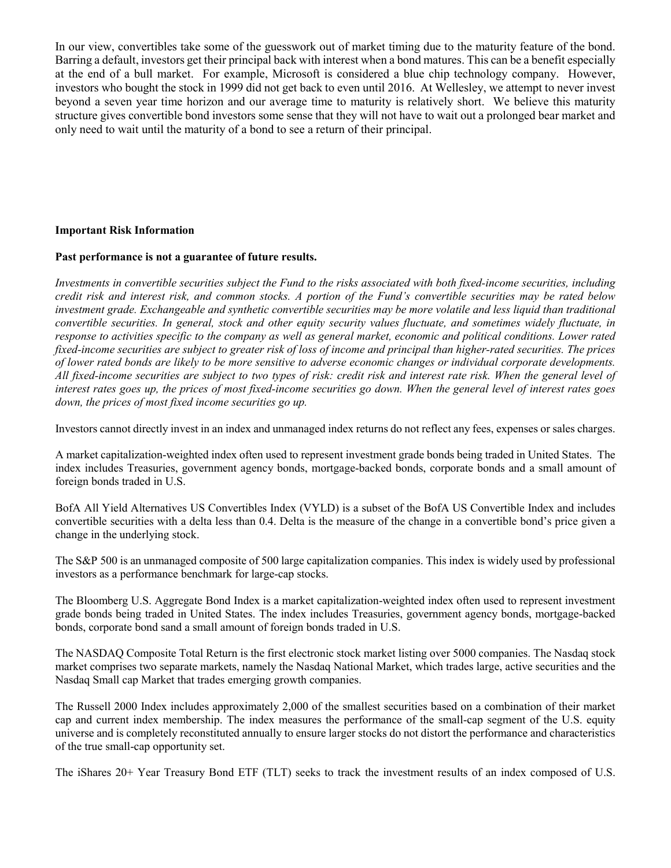In our view, convertibles take some of the guesswork out of market timing due to the maturity feature of the bond. Barring a default, investors get their principal back with interest when a bond matures. This can be a benefit especially at the end of a bull market. For example, Microsoft is considered a blue chip technology company. However, investors who bought the stock in 1999 did not get back to even until 2016. At Wellesley, we attempt to never invest beyond a seven year time horizon and our average time to maturity is relatively short. We believe this maturity structure gives convertible bond investors some sense that they will not have to wait out a prolonged bear market and only need to wait until the maturity of a bond to see a return of their principal.

#### **Important Risk Information**

#### **Past performance is not a guarantee of future results.**

*Investments in convertible securities subject the Fund to the risks associated with both fixed-income securities, including credit risk and interest risk, and common stocks. A portion of the Fund's convertible securities may be rated below investment grade. Exchangeable and synthetic convertible securities may be more volatile and less liquid than traditional convertible securities. In general, stock and other equity security values fluctuate, and sometimes widely fluctuate, in response to activities specific to the company as well as general market, economic and political conditions. Lower rated fixed-income securities are subject to greater risk of loss of income and principal than higher-rated securities. The prices of lower rated bonds are likely to be more sensitive to adverse economic changes or individual corporate developments. All fixed-income securities are subject to two types of risk: credit risk and interest rate risk. When the general level of interest rates goes up, the prices of most fixed-income securities go down. When the general level of interest rates goes down, the prices of most fixed income securities go up.*

Investors cannot directly invest in an index and unmanaged index returns do not reflect any fees, expenses or sales charges.

A market capitalization-weighted index often used to represent investment grade bonds being traded in United States. The index includes Treasuries, government agency bonds, mortgage-backed bonds, corporate bonds and a small amount of foreign bonds traded in U.S.

BofA All Yield Alternatives US Convertibles Index (VYLD) is a subset of the BofA US Convertible Index and includes convertible securities with a delta less than 0.4. Delta is the measure of the change in a convertible bond's price given a change in the underlying stock.

The S&P 500 is an unmanaged composite of 500 large capitalization companies. This index is widely used by professional investors as a performance benchmark for large-cap stocks.

The Bloomberg U.S. Aggregate Bond Index is a market capitalization-weighted index often used to represent investment grade bonds being traded in United States. The index includes Treasuries, government agency bonds, mortgage-backed bonds, corporate bond sand a small amount of foreign bonds traded in U.S.

The NASDAQ Composite Total Return is the first electronic stock market listing over 5000 companies. The Nasdaq stock market comprises two separate markets, namely the Nasdaq National Market, which trades large, active securities and the Nasdaq Small cap Market that trades emerging growth companies.

The Russell 2000 Index includes approximately 2,000 of the smallest securities based on a combination of their market cap and current index membership. The index measures the performance of the small-cap segment of the U.S. equity universe and is completely reconstituted annually to ensure larger stocks do not distort the performance and characteristics of the true small-cap opportunity set.

The iShares 20+ Year Treasury Bond ETF (TLT) seeks to track the investment results of an index composed of U.S.